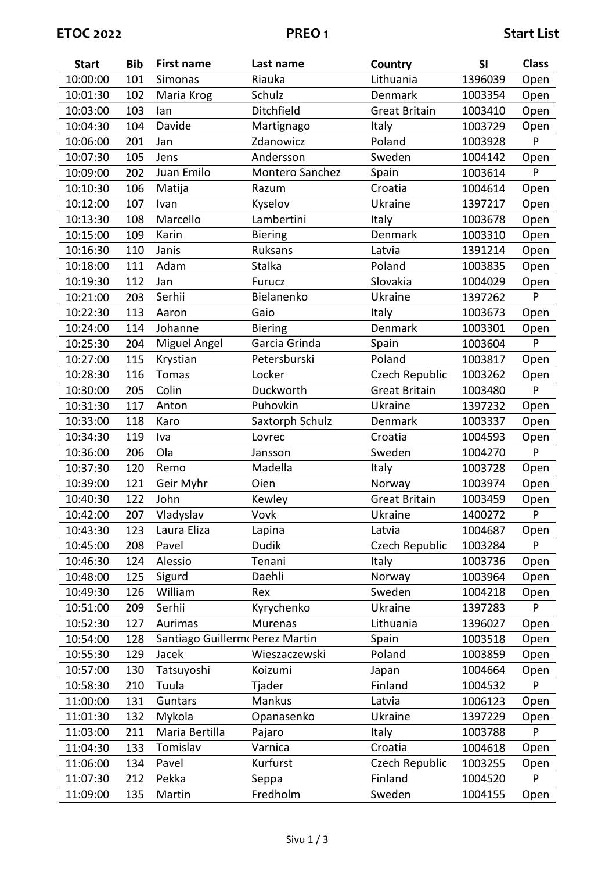| <b>Start</b> | <b>Bib</b> | <b>First name</b>              | Last name       | Country              | SI      | <b>Class</b> |
|--------------|------------|--------------------------------|-----------------|----------------------|---------|--------------|
| 10:00:00     | 101        | Simonas                        | Riauka          | Lithuania            | 1396039 | Open         |
| 10:01:30     | 102        | Maria Krog                     | Schulz          | Denmark              | 1003354 | Open         |
| 10:03:00     | 103        | lan                            | Ditchfield      | <b>Great Britain</b> | 1003410 | Open         |
| 10:04:30     | 104        | Davide                         | Martignago      | Italy                | 1003729 | Open         |
| 10:06:00     | 201        | Jan                            | Zdanowicz       | Poland               | 1003928 | P            |
| 10:07:30     | 105        | Jens                           | Andersson       | Sweden               | 1004142 | Open         |
| 10:09:00     | 202        | Juan Emilo                     | Montero Sanchez | Spain                | 1003614 | P            |
| 10:10:30     | 106        | Matija                         | Razum           | Croatia              | 1004614 | Open         |
| 10:12:00     | 107        | Ivan                           | Kyselov         | Ukraine              | 1397217 | Open         |
| 10:13:30     | 108        | Marcello                       | Lambertini      | Italy                | 1003678 | Open         |
| 10:15:00     | 109        | Karin                          | <b>Biering</b>  | Denmark              | 1003310 | Open         |
| 10:16:30     | 110        | Janis                          | Ruksans         | Latvia               | 1391214 | Open         |
| 10:18:00     | 111        | Adam                           | Stalka          | Poland               | 1003835 | Open         |
| 10:19:30     | 112        | Jan                            | <b>Furucz</b>   | Slovakia             | 1004029 | Open         |
| 10:21:00     | 203        | Serhii                         | Bielanenko      | Ukraine              | 1397262 | P            |
| 10:22:30     | 113        | Aaron                          | Gaio            | Italy                | 1003673 | Open         |
| 10:24:00     | 114        | Johanne                        | <b>Biering</b>  | Denmark              | 1003301 | Open         |
| 10:25:30     | 204        | Miguel Angel                   | Garcia Grinda   | Spain                | 1003604 | P            |
| 10:27:00     | 115        | Krystian                       | Petersburski    | Poland               | 1003817 | Open         |
| 10:28:30     | 116        | <b>Tomas</b>                   | Locker          | Czech Republic       | 1003262 | Open         |
| 10:30:00     | 205        | Colin                          | Duckworth       | <b>Great Britain</b> | 1003480 | P            |
| 10:31:30     | 117        | Anton                          | Puhovkin        | Ukraine              | 1397232 | Open         |
| 10:33:00     | 118        | Karo                           | Saxtorph Schulz | Denmark              | 1003337 | Open         |
| 10:34:30     | 119        | Iva                            | Lovrec          | Croatia              | 1004593 | Open         |
| 10:36:00     | 206        | Ola                            | Jansson         | Sweden               | 1004270 | P            |
| 10:37:30     | 120        | Remo                           | Madella         | Italy                | 1003728 | Open         |
| 10:39:00     | 121        | Geir Myhr                      | Oien            | Norway               | 1003974 | Open         |
| 10:40:30     | 122        | John                           | Kewley          | <b>Great Britain</b> | 1003459 | Open         |
| 10:42:00     | 207        | Vladyslav                      | Vovk            | Ukraine              | 1400272 | ${\sf P}$    |
| 10:43:30     | 123        | Laura Eliza                    | Lapina          | Latvia               | 1004687 | Open         |
| 10:45:00     | 208        | Pavel                          | <b>Dudik</b>    | Czech Republic       | 1003284 | P            |
| 10:46:30     | 124        | Alessio                        | Tenani          | Italy                | 1003736 | Open         |
| 10:48:00     | 125        | Sigurd                         | Daehli          | Norway               | 1003964 | Open         |
| 10:49:30     | 126        | William                        | Rex             | Sweden               | 1004218 | Open         |
| 10:51:00     | 209        | Serhii                         | Kyrychenko      | Ukraine              | 1397283 | P            |
| 10:52:30     | 127        | Aurimas                        | <b>Murenas</b>  | Lithuania            | 1396027 | Open         |
| 10:54:00     | 128        | Santiago Guillerm Perez Martin |                 | Spain                | 1003518 | Open         |
| 10:55:30     | 129        | Jacek                          | Wieszaczewski   | Poland               | 1003859 | Open         |
| 10:57:00     | 130        | Tatsuyoshi                     | Koizumi         | Japan                | 1004664 | Open         |
| 10:58:30     | 210        | Tuula                          | Tjader          | Finland              | 1004532 | P            |
| 11:00:00     | 131        | Guntars                        | Mankus          | Latvia               | 1006123 | Open         |
| 11:01:30     | 132        | Mykola                         | Opanasenko      | Ukraine              | 1397229 | Open         |
| 11:03:00     | 211        | Maria Bertilla                 | Pajaro          | Italy                | 1003788 | P            |
| 11:04:30     | 133        | Tomislav                       | Varnica         | Croatia              | 1004618 | Open         |
| 11:06:00     | 134        | Pavel                          | Kurfurst        | Czech Republic       | 1003255 | Open         |
| 11:07:30     | 212        | Pekka                          | Seppa           | Finland              | 1004520 | P            |
| 11:09:00     | 135        | Martin                         | Fredholm        | Sweden               | 1004155 | Open         |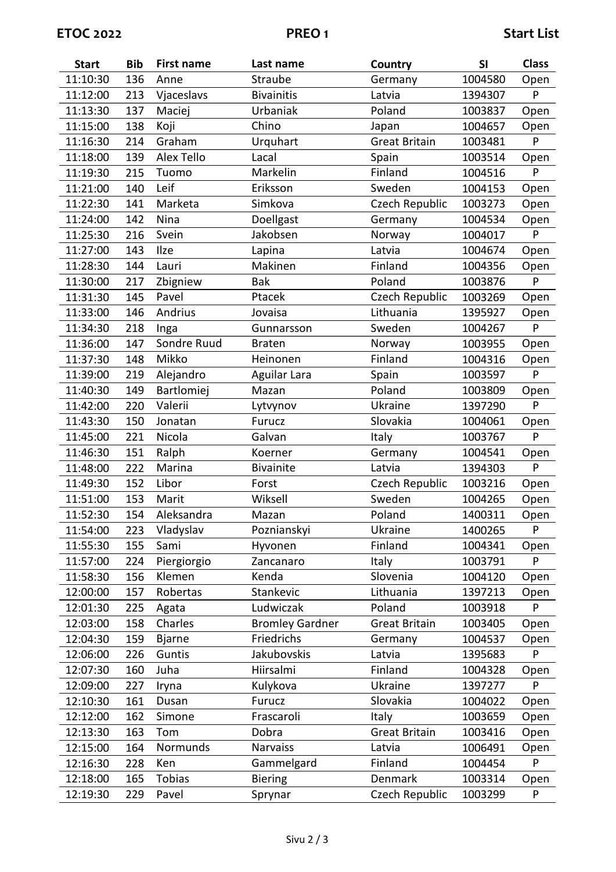| <b>Start</b> | <b>Bib</b> | <b>First name</b> | Last name              | Country              | SI      | <b>Class</b> |
|--------------|------------|-------------------|------------------------|----------------------|---------|--------------|
| 11:10:30     | 136        | Anne              | Straube                | Germany              | 1004580 | Open         |
| 11:12:00     | 213        | Vjaceslavs        | <b>Bivainitis</b>      | Latvia               | 1394307 | P            |
| 11:13:30     | 137        | Maciej            | Urbaniak               | Poland               | 1003837 | Open         |
| 11:15:00     | 138        | Koji              | Chino                  | Japan                | 1004657 | Open         |
| 11:16:30     | 214        | Graham            | Urquhart               | <b>Great Britain</b> | 1003481 | P            |
| 11:18:00     | 139        | Alex Tello        | Lacal                  | Spain                | 1003514 | Open         |
| 11:19:30     | 215        | Tuomo             | Markelin               | Finland              | 1004516 | P            |
| 11:21:00     | 140        | Leif              | Eriksson               | Sweden               | 1004153 | Open         |
| 11:22:30     | 141        | Marketa           | Simkova                | Czech Republic       | 1003273 | Open         |
| 11:24:00     | 142        | Nina              | Doellgast              | Germany              | 1004534 | Open         |
| 11:25:30     | 216        | Svein             | Jakobsen               | Norway               | 1004017 | P            |
| 11:27:00     | 143        | Ilze              | Lapina                 | Latvia               | 1004674 | Open         |
| 11:28:30     | 144        | Lauri             | Makinen                | Finland              | 1004356 | Open         |
| 11:30:00     | 217        | Zbigniew          | <b>Bak</b>             | Poland               | 1003876 | P            |
| 11:31:30     | 145        | Pavel             | Ptacek                 | Czech Republic       | 1003269 | Open         |
| 11:33:00     | 146        | Andrius           | Jovaisa                | Lithuania            | 1395927 | Open         |
| 11:34:30     | 218        | Inga              | Gunnarsson             | Sweden               | 1004267 | P            |
| 11:36:00     | 147        | Sondre Ruud       | <b>Braten</b>          | Norway               | 1003955 | Open         |
| 11:37:30     | 148        | Mikko             | Heinonen               | Finland              | 1004316 | Open         |
| 11:39:00     | 219        | Alejandro         | Aguilar Lara           | Spain                | 1003597 | P            |
| 11:40:30     | 149        | Bartlomiej        | Mazan                  | Poland               | 1003809 | Open         |
| 11:42:00     | 220        | Valerii           | Lytvynov               | Ukraine              | 1397290 | P            |
| 11:43:30     | 150        | Jonatan           | Furucz                 | Slovakia             | 1004061 | Open         |
| 11:45:00     | 221        | Nicola            | Galvan                 | Italy                | 1003767 | P            |
| 11:46:30     | 151        | Ralph             | Koerner                | Germany              | 1004541 | Open         |
| 11:48:00     | 222        | Marina            | <b>Bivainite</b>       | Latvia               | 1394303 | P            |
| 11:49:30     | 152        | Libor             | Forst                  | Czech Republic       | 1003216 | Open         |
| 11:51:00     | 153        | Marit             | Wiksell                | Sweden               | 1004265 | Open         |
| 11:52:30     | 154        | Aleksandra        | Mazan                  | Poland               | 1400311 | Open         |
| 11:54:00     | 223        | Vladyslav         | Poznianskyi            | Ukraine              | 1400265 | P            |
| 11:55:30     | 155        | Sami              | Hyvonen                | Finland              | 1004341 | Open         |
| 11:57:00     | 224        | Piergiorgio       | Zancanaro              | Italy                | 1003791 | P            |
| 11:58:30     | 156        | Klemen            | Kenda                  | Slovenia             | 1004120 | Open         |
| 12:00:00     | 157        | Robertas          | Stankevic              | Lithuania            | 1397213 | Open         |
| 12:01:30     | 225        | Agata             | Ludwiczak              | Poland               | 1003918 | P            |
| 12:03:00     | 158        | Charles           | <b>Bromley Gardner</b> | <b>Great Britain</b> | 1003405 | Open         |
| 12:04:30     | 159        | <b>Bjarne</b>     | Friedrichs             | Germany              | 1004537 | Open         |
| 12:06:00     | 226        | Guntis            | Jakubovskis            | Latvia               | 1395683 | P            |
| 12:07:30     | 160        | Juha              | Hiirsalmi              | Finland              | 1004328 | Open         |
| 12:09:00     | 227        | Iryna             | Kulykova               | Ukraine              | 1397277 | P            |
| 12:10:30     | 161        | Dusan             | <b>Furucz</b>          | Slovakia             | 1004022 | Open         |
| 12:12:00     | 162        | Simone            | Frascaroli             | Italy                | 1003659 | Open         |
| 12:13:30     | 163        | Tom               | Dobra                  | <b>Great Britain</b> | 1003416 | Open         |
| 12:15:00     | 164        | Normunds          | Narvaiss               | Latvia               | 1006491 | Open         |
| 12:16:30     | 228        | Ken               | Gammelgard             | Finland              | 1004454 | P            |
| 12:18:00     | 165        | <b>Tobias</b>     | <b>Biering</b>         | Denmark              | 1003314 | Open         |
| 12:19:30     | 229        | Pavel             | Sprynar                | Czech Republic       | 1003299 | P            |